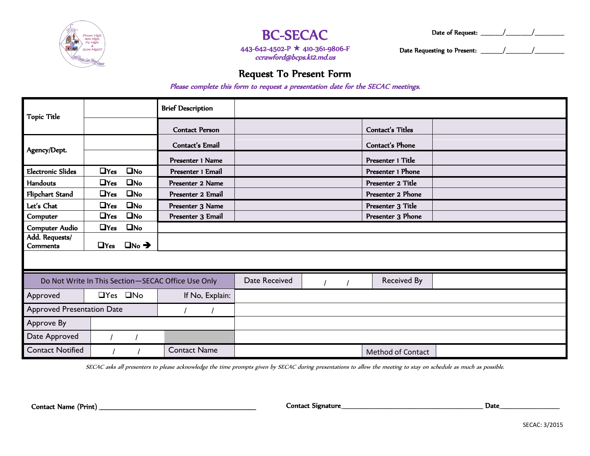

## BC-SECAC

Date of Request: \_\_\_\_\_\_/\_\_\_\_\_\_\_/\_\_\_\_\_\_\_\_

443-642-4502-P ★ 410-361-9806-F ccrawford@bcps.k12.md.us

Date Requesting to Present:  $\frac{1}{2}$  /  $\frac{1}{2}$ 

### Request To Present Form

Please complete this form to request a presentation date for the SECAC meetings.

| <b>Topic Title</b>                                 |            |                         | <b>Brief Description</b> |               |  |                          |  |
|----------------------------------------------------|------------|-------------------------|--------------------------|---------------|--|--------------------------|--|
|                                                    |            |                         | <b>Contact Person</b>    |               |  | Contact's Titles         |  |
| Agency/Dept.                                       |            |                         | Contact's Email          |               |  | Contact's Phone          |  |
|                                                    |            |                         | Presenter 1 Name         |               |  | Presenter 1 Title        |  |
| <b>Electronic Slides</b>                           | $\Box$ Yes | $\square$ No            | Presenter 1 Email        |               |  | Presenter 1 Phone        |  |
| <b>Handouts</b>                                    | $\Box$ Yes | $\square$ No            | Presenter 2 Name         |               |  | Presenter 2 Title        |  |
| Flipchart Stand                                    | $\Box$ Yes | $\square$ No            | Presenter 2 Email        |               |  | Presenter 2 Phone        |  |
| Let's Chat                                         | $\Box$ Yes | $\square$ No            | Presenter 3 Name         |               |  | Presenter 3 Title        |  |
| Computer                                           | $\Box$ Yes | $\square$ No            | Presenter 3 Email        |               |  | Presenter 3 Phone        |  |
| <b>Computer Audio</b>                              | $\Box$ Yes | $\square$ No            |                          |               |  |                          |  |
| Add. Requests/<br><b>Comments</b>                  | $\Box$ Yes | $\Box$ No $\rightarrow$ |                          |               |  |                          |  |
|                                                    |            |                         |                          |               |  |                          |  |
| Do Not Write In This Section-SECAC Office Use Only |            |                         |                          | Date Received |  | <b>Received By</b>       |  |
| Approved                                           |            | $\Box$ Yes $\Box$ No    | If No, Explain:          |               |  |                          |  |
| <b>Approved Presentation Date</b>                  |            |                         |                          |               |  |                          |  |
| Approve By                                         |            |                         |                          |               |  |                          |  |
| Date Approved                                      |            |                         |                          |               |  |                          |  |
| <b>Contact Notified</b>                            |            |                         | <b>Contact Name</b>      |               |  | <b>Method of Contact</b> |  |

SECAC asks all presenters to please acknowledge the time prompts given by SECAC during presentations to allow the meeting to stay on schedule as much as possible.

Contact Name (Print) \_\_\_\_\_\_\_\_\_\_\_\_\_\_\_\_\_\_\_\_\_\_\_\_\_\_\_\_\_\_\_\_\_\_\_\_\_\_\_\_\_\_\_\_\_\_\_\_\_\_\_\_\_\_\_\_\_\_\_\_\_\_\_\_\_ Contact Signature \_\_\_\_\_\_\_\_\_\_\_\_\_\_\_\_\_\_\_\_\_\_\_\_\_\_\_\_\_\_\_\_\_\_\_\_\_\_\_\_\_\_\_\_\_\_\_\_\_\_\_\_\_\_\_\_\_\_ Date \_\_\_\_\_\_\_\_\_\_\_\_\_\_\_\_\_\_\_\_\_\_\_\_